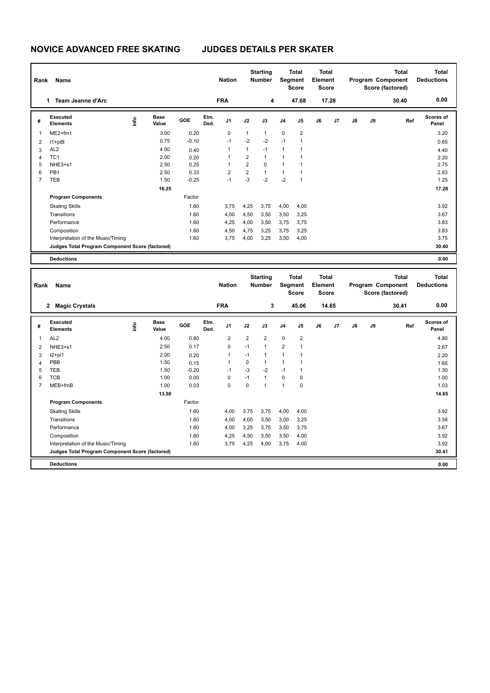| Rank | <b>Name</b>                                     |      |                      |            |              | <b>Nation</b>  |                | <b>Starting</b><br><b>Number</b> |                | <b>Total</b><br>Segment<br><b>Score</b> | <b>Total</b><br>Element<br><b>Score</b> |       |    |    | <b>Total</b><br>Program Component<br>Score (factored) | <b>Total</b><br><b>Deductions</b> |
|------|-------------------------------------------------|------|----------------------|------------|--------------|----------------|----------------|----------------------------------|----------------|-----------------------------------------|-----------------------------------------|-------|----|----|-------------------------------------------------------|-----------------------------------|
|      | Team Jeanne d'Arc<br>1                          |      |                      |            |              | <b>FRA</b>     |                | 4                                |                | 47.68                                   |                                         | 17.28 |    |    | 30.40                                                 | 0.00                              |
| #    | Executed<br><b>Elements</b>                     | lnfo | <b>Base</b><br>Value | <b>GOE</b> | Elm.<br>Ded. | J <sub>1</sub> | J2             | J3                               | J <sub>4</sub> | J <sub>5</sub>                          | J6                                      | J7    | J8 | J9 | Ref                                                   | Scores of<br>Panel                |
| 1    | $ME2+fm1$                                       |      | 3.00                 | 0.20       |              | 0              | 1              | $\mathbf{1}$                     | $\mathbf 0$    | $\overline{\mathbf{c}}$                 |                                         |       |    |    |                                                       | 3.20                              |
| 2    | $11 + piB$                                      |      | 0.75                 | $-0.10$    |              | $-1$           | $-2$           | $-2$                             | $-1$           | 1                                       |                                         |       |    |    |                                                       | 0.65                              |
| 3    | AL <sub>2</sub>                                 |      | 4.00                 | 0.40       |              | 1              | 1              | $-1$                             | 1              | 1                                       |                                         |       |    |    |                                                       | 4.40                              |
| 4    | TC <sub>1</sub>                                 |      | 2.00                 | 0.20       |              | 1              | $\overline{2}$ | $\mathbf{1}$                     | 1              | 1                                       |                                         |       |    |    |                                                       | 2.20                              |
| 5    | NHE3+s1                                         |      | 2.50                 | 0.25       |              | 1              | 2              | 0                                | 1              | 1                                       |                                         |       |    |    |                                                       | 2.75                              |
| 6    | PB <sub>1</sub>                                 |      | 2.50                 | 0.33       |              | $\overline{2}$ | $\overline{2}$ | $\mathbf{1}$                     | 1              | 1                                       |                                         |       |    |    |                                                       | 2.83                              |
| 7    | <b>TEB</b>                                      |      | 1.50                 | $-0.25$    |              | $-1$           | $-3$           | $-2$                             | $-2$           | 1                                       |                                         |       |    |    |                                                       | 1.25                              |
|      |                                                 |      | 16.25                |            |              |                |                |                                  |                |                                         |                                         |       |    |    |                                                       | 17.28                             |
|      | <b>Program Components</b>                       |      |                      | Factor     |              |                |                |                                  |                |                                         |                                         |       |    |    |                                                       |                                   |
|      | <b>Skating Skills</b>                           |      |                      | 1.60       |              | 3,75           | 4,25           | 3,75                             | 4,00           | 4,00                                    |                                         |       |    |    |                                                       | 3.92                              |
|      | Transitions                                     |      |                      | 1.60       |              | 4,00           | 4,50           | 3,50                             | 3,50           | 3,25                                    |                                         |       |    |    |                                                       | 3.67                              |
|      | Performance                                     |      |                      | 1.60       |              | 4,25           | 4,00           | 3,50                             | 3,75           | 3,75                                    |                                         |       |    |    |                                                       | 3.83                              |
|      | Composition                                     |      |                      | 1.60       |              | 4,50           | 4,75           | 3,25                             | 3,75           | 3,25                                    |                                         |       |    |    |                                                       | 3.83                              |
|      | Interpretation of the Music/Timing              |      |                      | 1.60       |              | 3,75           | 4,00           | 3,25                             | 3,50           | 4,00                                    |                                         |       |    |    |                                                       | 3.75                              |
|      | Judges Total Program Component Score (factored) |      |                      |            |              |                |                |                                  |                |                                         |                                         |       |    |    |                                                       | 30.40                             |
|      | <b>Deductions</b>                               |      |                      |            |              |                |                |                                  |                |                                         |                                         |       |    |    |                                                       | 0.00                              |

| Name<br>Rank |                                                 |      |                      |         |              | <b>Starting</b><br><b>Nation</b><br><b>Number</b> |                | <b>Total</b><br>Segment<br><b>Score</b> |                | <b>Total</b><br>Element<br><b>Score</b> |    |                |    | <b>Total</b><br>Program Component<br>Score (factored) | <b>Total</b><br><b>Deductions</b> |                    |
|--------------|-------------------------------------------------|------|----------------------|---------|--------------|---------------------------------------------------|----------------|-----------------------------------------|----------------|-----------------------------------------|----|----------------|----|-------------------------------------------------------|-----------------------------------|--------------------|
|              | <b>Magic Crystals</b><br>$\mathbf{2}$           |      |                      |         |              | <b>FRA</b>                                        |                | 3                                       |                | 45.06                                   |    | 14.65          |    |                                                       | 30.41                             | 0.00               |
| #            | Executed<br><b>Elements</b>                     | lnfo | <b>Base</b><br>Value | GOE     | Elm.<br>Ded. | J <sub>1</sub>                                    | J2             | J3                                      | J <sub>4</sub> | J <sub>5</sub>                          | J6 | J <sub>7</sub> | J8 | J9                                                    | Ref                               | Scores of<br>Panel |
| 1            | AL <sub>2</sub>                                 |      | 4.00                 | 0.80    |              | $\overline{2}$                                    | $\overline{2}$ | $\overline{2}$                          | $\mathbf 0$    | $\overline{2}$                          |    |                |    |                                                       |                                   | 4.80               |
| 2            | NHE3+s1                                         |      | 2.50                 | 0.17    |              | $\mathbf 0$                                       | $-1$           | $\mathbf{1}$                            | $\overline{2}$ | 1                                       |    |                |    |                                                       |                                   | 2.67               |
| 3            | $12+pi1$                                        |      | 2.00                 | 0.20    |              | $\overline{1}$                                    | $-1$           | 1                                       | 1              | 1                                       |    |                |    |                                                       |                                   | 2.20               |
| 4            | PBB                                             |      | 1.50                 | 0.15    |              | 1                                                 | 0              | 1                                       | 1              | $\overline{\phantom{a}}$                |    |                |    |                                                       |                                   | 1.65               |
| 5            | <b>TEB</b>                                      |      | 1.50                 | $-0.20$ |              | $-1$                                              | $-3$           | $-2$                                    | $-1$           | 1                                       |    |                |    |                                                       |                                   | 1.30               |
| 6            | <b>TCB</b>                                      |      | 1.00                 | 0.00    |              | 0                                                 | $-1$           | $\mathbf{1}$                            | $\mathbf 0$    | 0                                       |    |                |    |                                                       |                                   | 1.00               |
|              | $MEB+fmB$                                       |      | 1.00                 | 0.03    |              | 0                                                 | 0              | 1                                       | 1              | 0                                       |    |                |    |                                                       |                                   | 1.03               |
|              |                                                 |      | 13.50                |         |              |                                                   |                |                                         |                |                                         |    |                |    |                                                       |                                   | 14.65              |
|              | <b>Program Components</b>                       |      |                      | Factor  |              |                                                   |                |                                         |                |                                         |    |                |    |                                                       |                                   |                    |
|              | <b>Skating Skills</b>                           |      |                      | 1.60    |              | 4.00                                              | 3.75           | 3.75                                    | 4,00           | 4.00                                    |    |                |    |                                                       |                                   | 3.92               |
|              | Transitions                                     |      |                      | 1.60    |              | 4,00                                              | 4,00           | 3.50                                    | 3,00           | 3,25                                    |    |                |    |                                                       |                                   | 3.58               |
|              | Performance                                     |      |                      | 1.60    |              | 4,00                                              | 3,25           | 3.75                                    | 3,50           | 3,75                                    |    |                |    |                                                       |                                   | 3.67               |
|              | Composition                                     |      |                      | 1.60    |              | 4,25                                              | 4,50           | 3,50                                    | 3,50           | 4,00                                    |    |                |    |                                                       |                                   | 3.92               |
|              | Interpretation of the Music/Timing              |      |                      | 1.60    |              | 3,75                                              | 4,25           | 4,00                                    | 3,75           | 4,00                                    |    |                |    |                                                       |                                   | 3.92               |
|              | Judges Total Program Component Score (factored) |      |                      |         |              |                                                   |                |                                         |                |                                         |    |                |    |                                                       |                                   | 30.41              |
|              | <b>Deductions</b>                               |      |                      |         |              |                                                   |                |                                         |                |                                         |    |                |    |                                                       |                                   | 0.00               |